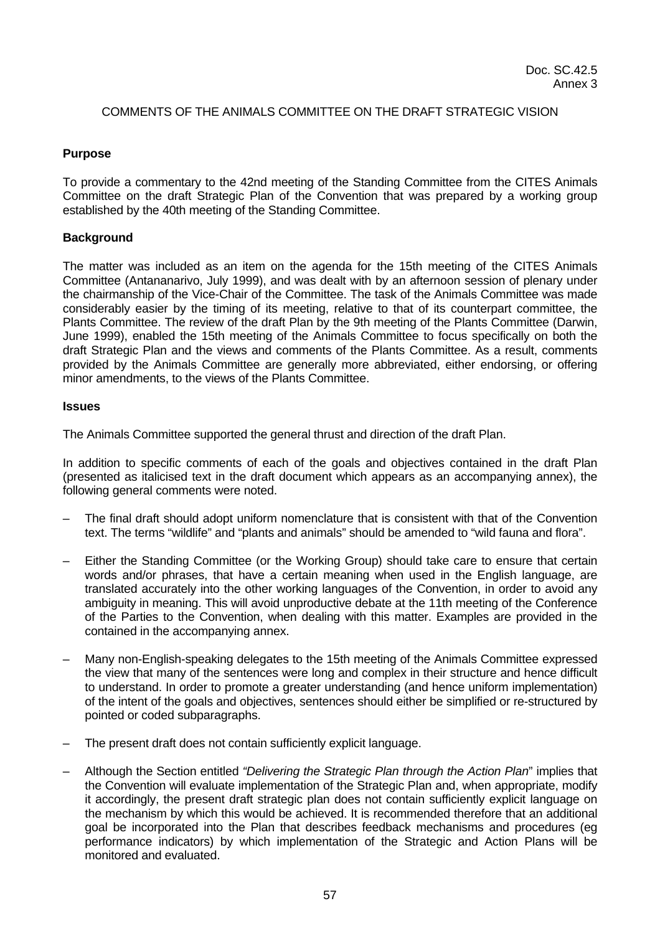## COMMENTS OF THE ANIMALS COMMITTEE ON THE DRAFT STRATEGIC VISION

#### **Purpose**

To provide a commentary to the 42nd meeting of the Standing Committee from the CITES Animals Committee on the draft Strategic Plan of the Convention that was prepared by a working group established by the 40th meeting of the Standing Committee.

#### **Background**

The matter was included as an item on the agenda for the 15th meeting of the CITES Animals Committee (Antananarivo, July 1999), and was dealt with by an afternoon session of plenary under the chairmanship of the Vice-Chair of the Committee. The task of the Animals Committee was made considerably easier by the timing of its meeting, relative to that of its counterpart committee, the Plants Committee. The review of the draft Plan by the 9th meeting of the Plants Committee (Darwin, June 1999), enabled the 15th meeting of the Animals Committee to focus specifically on both the draft Strategic Plan and the views and comments of the Plants Committee. As a result, comments provided by the Animals Committee are generally more abbreviated, either endorsing, or offering minor amendments, to the views of the Plants Committee.

#### **Issues**

The Animals Committee supported the general thrust and direction of the draft Plan.

In addition to specific comments of each of the goals and objectives contained in the draft Plan (presented as italicised text in the draft document which appears as an accompanying annex), the following general comments were noted.

- The final draft should adopt uniform nomenclature that is consistent with that of the Convention text. The terms "wildlife" and "plants and animals" should be amended to "wild fauna and flora".
- Either the Standing Committee (or the Working Group) should take care to ensure that certain words and/or phrases, that have a certain meaning when used in the English language, are translated accurately into the other working languages of the Convention, in order to avoid any ambiguity in meaning. This will avoid unproductive debate at the 11th meeting of the Conference of the Parties to the Convention, when dealing with this matter. Examples are provided in the contained in the accompanying annex.
- Many non-English-speaking delegates to the 15th meeting of the Animals Committee expressed the view that many of the sentences were long and complex in their structure and hence difficult to understand. In order to promote a greater understanding (and hence uniform implementation) of the intent of the goals and objectives, sentences should either be simplified or re-structured by pointed or coded subparagraphs.
- The present draft does not contain sufficiently explicit language.
- Although the Section entitled *"Delivering the Strategic Plan through the Action Plan*" implies that the Convention will evaluate implementation of the Strategic Plan and, when appropriate, modify it accordingly, the present draft strategic plan does not contain sufficiently explicit language on the mechanism by which this would be achieved. It is recommended therefore that an additional goal be incorporated into the Plan that describes feedback mechanisms and procedures (eg performance indicators) by which implementation of the Strategic and Action Plans will be monitored and evaluated.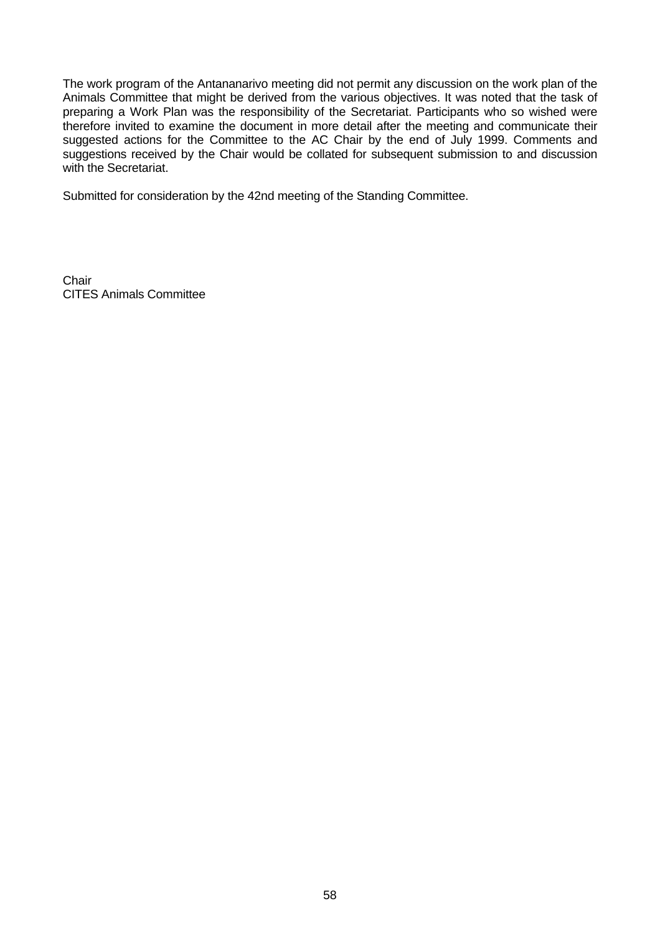The work program of the Antananarivo meeting did not permit any discussion on the work plan of the Animals Committee that might be derived from the various objectives. It was noted that the task of preparing a Work Plan was the responsibility of the Secretariat. Participants who so wished were therefore invited to examine the document in more detail after the meeting and communicate their suggested actions for the Committee to the AC Chair by the end of July 1999. Comments and suggestions received by the Chair would be collated for subsequent submission to and discussion with the Secretariat.

Submitted for consideration by the 42nd meeting of the Standing Committee.

**Chair** CITES Animals Committee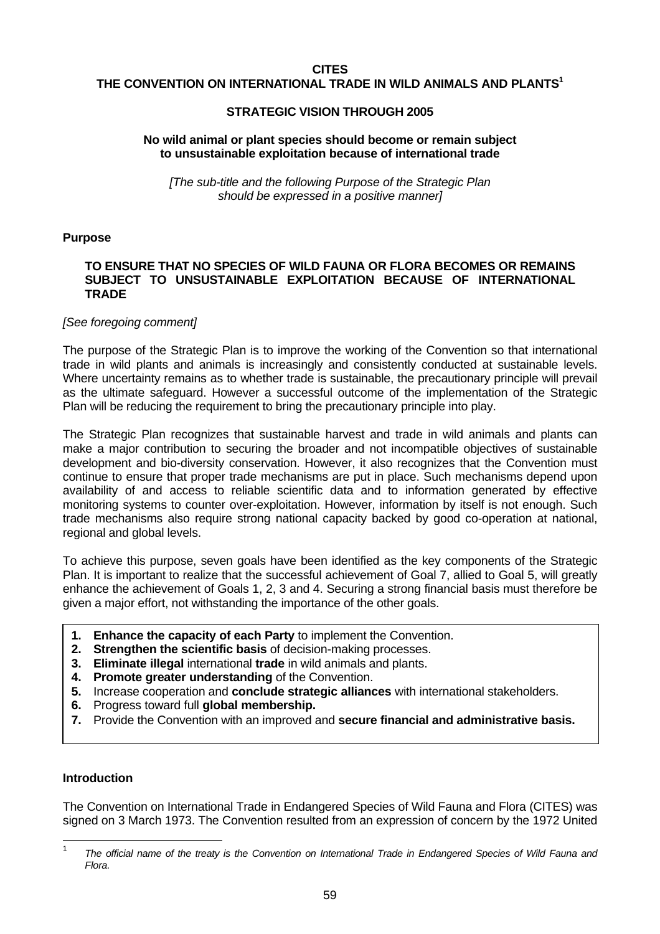#### **CITES**

#### **THE CONVENTION ON INTERNATIONAL TRADE IN WILD ANIMALS AND PLANTS<sup>1</sup>**

#### **STRATEGIC VISION THROUGH 2005**

#### **No wild animal or plant species should become or remain subject to unsustainable exploitation because of international trade**

*[The sub-title and the following Purpose of the Strategic Plan should be expressed in a positive manner]*

#### **Purpose**

#### **TO ENSURE THAT NO SPECIES OF WILD FAUNA OR FLORA BECOMES OR REMAINS SUBJECT TO UNSUSTAINABLE EXPLOITATION BECAUSE OF INTERNATIONAL TRADE**

#### *[See foregoing comment]*

The purpose of the Strategic Plan is to improve the working of the Convention so that international trade in wild plants and animals is increasingly and consistently conducted at sustainable levels. Where uncertainty remains as to whether trade is sustainable, the precautionary principle will prevail as the ultimate safeguard. However a successful outcome of the implementation of the Strategic Plan will be reducing the requirement to bring the precautionary principle into play.

The Strategic Plan recognizes that sustainable harvest and trade in wild animals and plants can make a major contribution to securing the broader and not incompatible objectives of sustainable development and bio-diversity conservation. However, it also recognizes that the Convention must continue to ensure that proper trade mechanisms are put in place. Such mechanisms depend upon availability of and access to reliable scientific data and to information generated by effective monitoring systems to counter over-exploitation. However, information by itself is not enough. Such trade mechanisms also require strong national capacity backed by good co-operation at national, regional and global levels.

To achieve this purpose, seven goals have been identified as the key components of the Strategic Plan. It is important to realize that the successful achievement of Goal 7, allied to Goal 5, will greatly enhance the achievement of Goals 1, 2, 3 and 4. Securing a strong financial basis must therefore be given a major effort, not withstanding the importance of the other goals.

- **1. Enhance the capacity of each Party** to implement the Convention.
- **2. Strengthen the scientific basis** of decision-making processes.
- **3. Eliminate illegal** international **trade** in wild animals and plants.
- **4. Promote greater understanding** of the Convention.
- **5.** Increase cooperation and **conclude strategic alliances** with international stakeholders.
- **6.** Progress toward full **global membership.**
- **7.** Provide the Convention with an improved and **secure financial and administrative basis.**

## **Introduction**

The Convention on International Trade in Endangered Species of Wild Fauna and Flora (CITES) was signed on 3 March 1973. The Convention resulted from an expression of concern by the 1972 United

 $\frac{1}{1}$ *The official name of the treaty is the Convention on International Trade in Endangered Species of Wild Fauna and Flora.*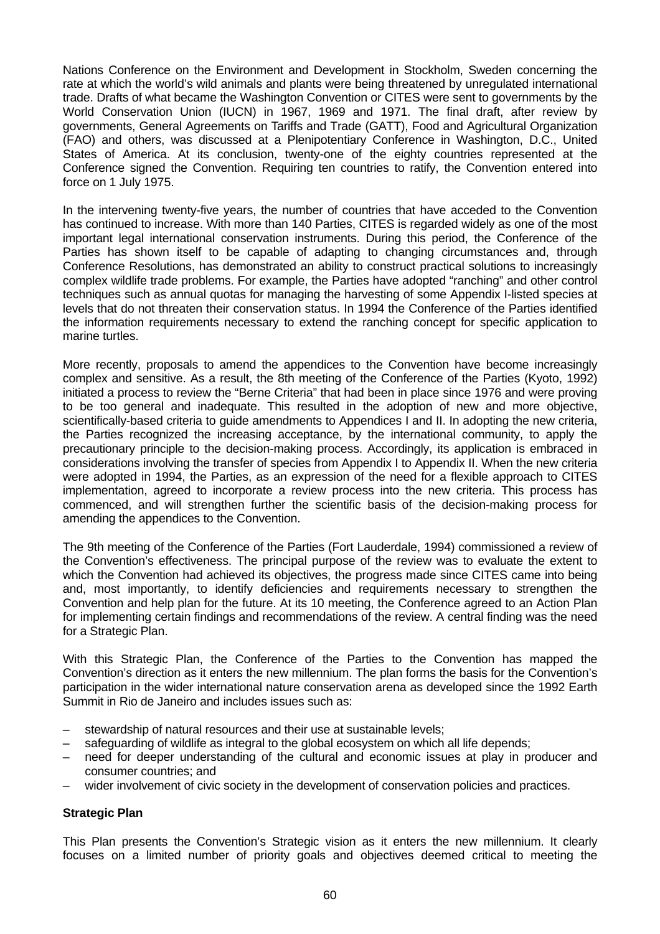Nations Conference on the Environment and Development in Stockholm, Sweden concerning the rate at which the world's wild animals and plants were being threatened by unregulated international trade. Drafts of what became the Washington Convention or CITES were sent to governments by the World Conservation Union (IUCN) in 1967, 1969 and 1971. The final draft, after review by governments, General Agreements on Tariffs and Trade (GATT), Food and Agricultural Organization (FAO) and others, was discussed at a Plenipotentiary Conference in Washington, D.C., United States of America. At its conclusion, twenty-one of the eighty countries represented at the Conference signed the Convention. Requiring ten countries to ratify, the Convention entered into force on 1 July 1975.

In the intervening twenty-five years, the number of countries that have acceded to the Convention has continued to increase. With more than 140 Parties, CITES is regarded widely as one of the most important legal international conservation instruments. During this period, the Conference of the Parties has shown itself to be capable of adapting to changing circumstances and, through Conference Resolutions, has demonstrated an ability to construct practical solutions to increasingly complex wildlife trade problems. For example, the Parties have adopted "ranching" and other control techniques such as annual quotas for managing the harvesting of some Appendix I-listed species at levels that do not threaten their conservation status. In 1994 the Conference of the Parties identified the information requirements necessary to extend the ranching concept for specific application to marine turtles.

More recently, proposals to amend the appendices to the Convention have become increasingly complex and sensitive. As a result, the 8th meeting of the Conference of the Parties (Kyoto, 1992) initiated a process to review the "Berne Criteria" that had been in place since 1976 and were proving to be too general and inadequate. This resulted in the adoption of new and more objective, scientifically-based criteria to guide amendments to Appendices I and II. In adopting the new criteria, the Parties recognized the increasing acceptance, by the international community, to apply the precautionary principle to the decision-making process. Accordingly, its application is embraced in considerations involving the transfer of species from Appendix I to Appendix II. When the new criteria were adopted in 1994, the Parties, as an expression of the need for a flexible approach to CITES implementation, agreed to incorporate a review process into the new criteria. This process has commenced, and will strengthen further the scientific basis of the decision-making process for amending the appendices to the Convention.

The 9th meeting of the Conference of the Parties (Fort Lauderdale, 1994) commissioned a review of the Convention's effectiveness. The principal purpose of the review was to evaluate the extent to which the Convention had achieved its objectives, the progress made since CITES came into being and, most importantly, to identify deficiencies and requirements necessary to strengthen the Convention and help plan for the future. At its 10 meeting, the Conference agreed to an Action Plan for implementing certain findings and recommendations of the review. A central finding was the need for a Strategic Plan.

With this Strategic Plan, the Conference of the Parties to the Convention has mapped the Convention's direction as it enters the new millennium. The plan forms the basis for the Convention's participation in the wider international nature conservation arena as developed since the 1992 Earth Summit in Rio de Janeiro and includes issues such as:

- stewardship of natural resources and their use at sustainable levels;
- safeguarding of wildlife as integral to the global ecosystem on which all life depends;
- need for deeper understanding of the cultural and economic issues at play in producer and consumer countries; and
- wider involvement of civic society in the development of conservation policies and practices.

## **Strategic Plan**

This Plan presents the Convention's Strategic vision as it enters the new millennium. It clearly focuses on a limited number of priority goals and objectives deemed critical to meeting the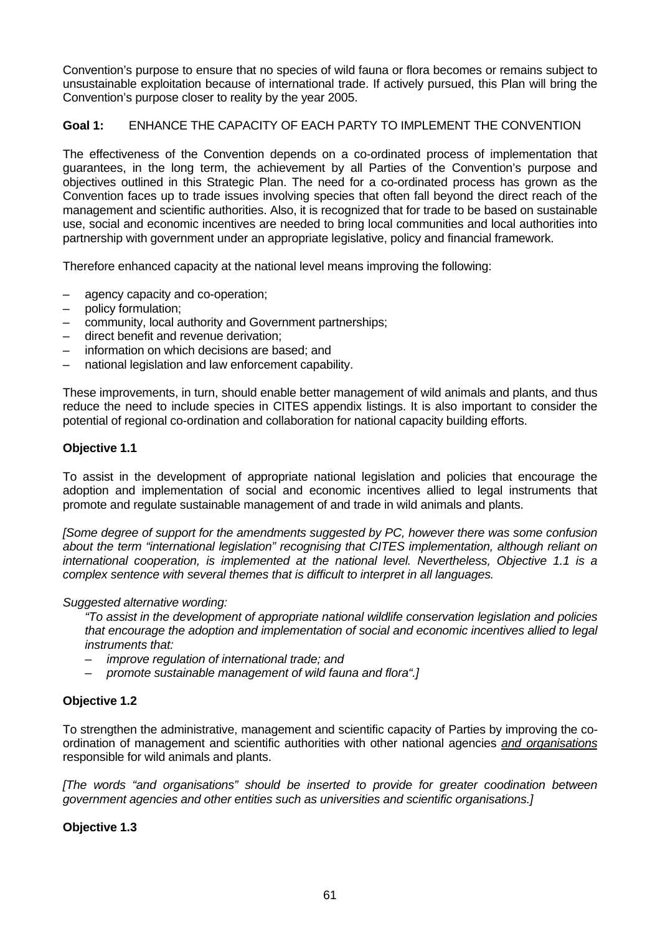Convention's purpose to ensure that no species of wild fauna or flora becomes or remains subject to unsustainable exploitation because of international trade. If actively pursued, this Plan will bring the Convention's purpose closer to reality by the year 2005.

# **Goal 1:** ENHANCE THE CAPACITY OF EACH PARTY TO IMPLEMENT THE CONVENTION

The effectiveness of the Convention depends on a co-ordinated process of implementation that guarantees, in the long term, the achievement by all Parties of the Convention's purpose and objectives outlined in this Strategic Plan. The need for a co-ordinated process has grown as the Convention faces up to trade issues involving species that often fall beyond the direct reach of the management and scientific authorities. Also, it is recognized that for trade to be based on sustainable use, social and economic incentives are needed to bring local communities and local authorities into partnership with government under an appropriate legislative, policy and financial framework.

Therefore enhanced capacity at the national level means improving the following:

- agency capacity and co-operation;
- policy formulation;
- community, local authority and Government partnerships;
- direct benefit and revenue derivation;
- information on which decisions are based; and
- national legislation and law enforcement capability.

These improvements, in turn, should enable better management of wild animals and plants, and thus reduce the need to include species in CITES appendix listings. It is also important to consider the potential of regional co-ordination and collaboration for national capacity building efforts.

## **Objective 1.1**

To assist in the development of appropriate national legislation and policies that encourage the adoption and implementation of social and economic incentives allied to legal instruments that promote and regulate sustainable management of and trade in wild animals and plants.

*[Some degree of support for the amendments suggested by PC, however there was some confusion about the term "international legislation" recognising that CITES implementation, although reliant on international cooperation, is implemented at the national level. Nevertheless, Objective 1.1 is a complex sentence with several themes that is difficult to interpret in all languages.*

## *Suggested alternative wording:*

*"To assist in the development of appropriate national wildlife conservation legislation and policies that encourage the adoption and implementation of social and economic incentives allied to legal instruments that:*

- *– improve regulation of international trade; and*
- *– promote sustainable management of wild fauna and flora".]*

# **Objective 1.2**

To strengthen the administrative, management and scientific capacity of Parties by improving the coordination of management and scientific authorities with other national agencies *and organisations* responsible for wild animals and plants.

*[The words "and organisations" should be inserted to provide for greater coodination between government agencies and other entities such as universities and scientific organisations.]*

## **Objective 1.3**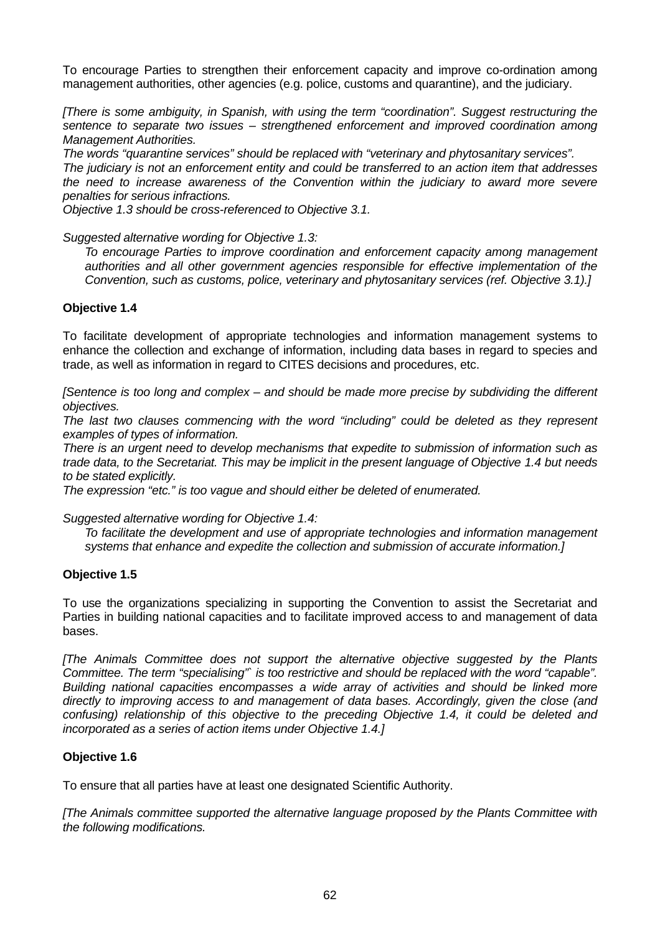To encourage Parties to strengthen their enforcement capacity and improve co-ordination among management authorities, other agencies (e.g. police, customs and quarantine), and the judiciary.

*[There is some ambiguity, in Spanish, with using the term "coordination". Suggest restructuring the sentence to separate two issues – strengthened enforcement and improved coordination among Management Authorities.*

*The words "quarantine services" should be replaced with "veterinary and phytosanitary services". The judiciary is not an enforcement entity and could be transferred to an action item that addresses the need to increase awareness of the Convention within the judiciary to award more severe penalties for serious infractions.*

*Objective 1.3 should be cross-referenced to Objective 3.1.*

*Suggested alternative wording for Objective 1.3:*

*To encourage Parties to improve coordination and enforcement capacity among management authorities and all other government agencies responsible for effective implementation of the Convention, such as customs, police, veterinary and phytosanitary services (ref. Objective 3.1).]*

## **Objective 1.4**

To facilitate development of appropriate technologies and information management systems to enhance the collection and exchange of information, including data bases in regard to species and trade, as well as information in regard to CITES decisions and procedures, etc.

*[Sentence is too long and complex – and should be made more precise by subdividing the different objectives.*

*The last two clauses commencing with the word "including" could be deleted as they represent examples of types of information.*

*There is an urgent need to develop mechanisms that expedite to submission of information such as trade data, to the Secretariat. This may be implicit in the present language of Objective 1.4 but needs to be stated explicitly.*

*The expression "etc." is too vague and should either be deleted of enumerated.*

*Suggested alternative wording for Objective 1.4:*

*To facilitate the development and use of appropriate technologies and information management systems that enhance and expedite the collection and submission of accurate information.]*

## **Objective 1.5**

To use the organizations specializing in supporting the Convention to assist the Secretariat and Parties in building national capacities and to facilitate improved access to and management of data bases.

*[The Animals Committee does not support the alternative objective suggested by the Plants Committee. The term "specialising"` is too restrictive and should be replaced with the word "capable". Building national capacities encompasses a wide array of activities and should be linked more directly to improving access to and management of data bases. Accordingly, given the close (and confusing) relationship of this objective to the preceding Objective 1.4, it could be deleted and incorporated as a series of action items under Objective 1.4.]*

## **Objective 1.6**

To ensure that all parties have at least one designated Scientific Authority.

*[The Animals committee supported the alternative language proposed by the Plants Committee with the following modifications.*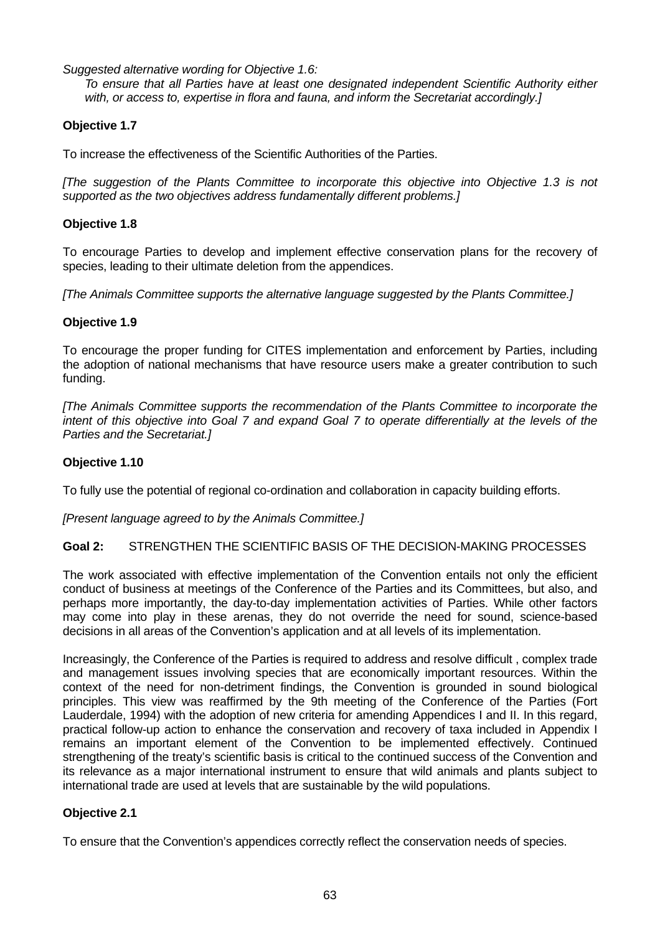*Suggested alternative wording for Objective 1.6:*

*To ensure that all Parties have at least one designated independent Scientific Authority either with, or access to, expertise in flora and fauna, and inform the Secretariat accordingly.]*

# **Objective 1.7**

To increase the effectiveness of the Scientific Authorities of the Parties.

*[The suggestion of the Plants Committee to incorporate this objective into Objective 1.3 is not supported as the two objectives address fundamentally different problems.]*

## **Objective 1.8**

To encourage Parties to develop and implement effective conservation plans for the recovery of species, leading to their ultimate deletion from the appendices.

*[The Animals Committee supports the alternative language suggested by the Plants Committee.]*

#### **Objective 1.9**

To encourage the proper funding for CITES implementation and enforcement by Parties, including the adoption of national mechanisms that have resource users make a greater contribution to such funding.

*[The Animals Committee supports the recommendation of the Plants Committee to incorporate the intent of this objective into Goal 7 and expand Goal 7 to operate differentially at the levels of the Parties and the Secretariat.]*

## **Objective 1.10**

To fully use the potential of regional co-ordination and collaboration in capacity building efforts.

*[Present language agreed to by the Animals Committee.]*

**Goal 2:** STRENGTHEN THE SCIENTIFIC BASIS OF THE DECISION-MAKING PROCESSES

The work associated with effective implementation of the Convention entails not only the efficient conduct of business at meetings of the Conference of the Parties and its Committees, but also, and perhaps more importantly, the day-to-day implementation activities of Parties. While other factors may come into play in these arenas, they do not override the need for sound, science-based decisions in all areas of the Convention's application and at all levels of its implementation.

Increasingly, the Conference of the Parties is required to address and resolve difficult , complex trade and management issues involving species that are economically important resources. Within the context of the need for non-detriment findings, the Convention is grounded in sound biological principles. This view was reaffirmed by the 9th meeting of the Conference of the Parties (Fort Lauderdale, 1994) with the adoption of new criteria for amending Appendices I and II. In this regard, practical follow-up action to enhance the conservation and recovery of taxa included in Appendix I remains an important element of the Convention to be implemented effectively. Continued strengthening of the treaty's scientific basis is critical to the continued success of the Convention and its relevance as a major international instrument to ensure that wild animals and plants subject to international trade are used at levels that are sustainable by the wild populations.

## **Objective 2.1**

To ensure that the Convention's appendices correctly reflect the conservation needs of species.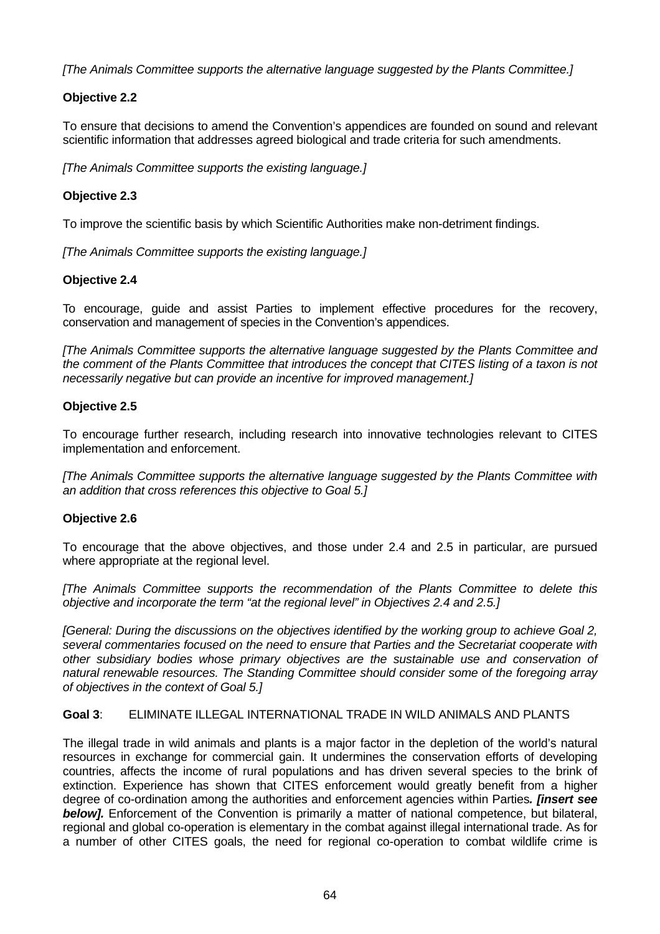*[The Animals Committee supports the alternative language suggested by the Plants Committee.]*

# **Objective 2.2**

To ensure that decisions to amend the Convention's appendices are founded on sound and relevant scientific information that addresses agreed biological and trade criteria for such amendments.

*[The Animals Committee supports the existing language.]*

# **Objective 2.3**

To improve the scientific basis by which Scientific Authorities make non-detriment findings.

*[The Animals Committee supports the existing language.]*

## **Objective 2.4**

To encourage, guide and assist Parties to implement effective procedures for the recovery, conservation and management of species in the Convention's appendices.

*[The Animals Committee supports the alternative language suggested by the Plants Committee and the comment of the Plants Committee that introduces the concept that CITES listing of a taxon is not necessarily negative but can provide an incentive for improved management.]*

## **Objective 2.5**

To encourage further research, including research into innovative technologies relevant to CITES implementation and enforcement.

*[The Animals Committee supports the alternative language suggested by the Plants Committee with an addition that cross references this objective to Goal 5.]*

## **Objective 2.6**

To encourage that the above objectives, and those under 2.4 and 2.5 in particular, are pursued where appropriate at the regional level.

*[The Animals Committee supports the recommendation of the Plants Committee to delete this objective and incorporate the term "at the regional level" in Objectives 2.4 and 2.5.]*

*[General: During the discussions on the objectives identified by the working group to achieve Goal 2, several commentaries focused on the need to ensure that Parties and the Secretariat cooperate with other subsidiary bodies whose primary objectives are the sustainable use and conservation of natural renewable resources. The Standing Committee should consider some of the foregoing array of objectives in the context of Goal 5.]*

#### **Goal 3**: ELIMINATE ILLEGAL INTERNATIONAL TRADE IN WILD ANIMALS AND PLANTS

The illegal trade in wild animals and plants is a major factor in the depletion of the world's natural resources in exchange for commercial gain. It undermines the conservation efforts of developing countries, affects the income of rural populations and has driven several species to the brink of extinction. Experience has shown that CITES enforcement would greatly benefit from a higher degree of co-ordination among the authorities and enforcement agencies within Parties*. [insert see* **below].** Enforcement of the Convention is primarily a matter of national competence, but bilateral, regional and global co-operation is elementary in the combat against illegal international trade. As for a number of other CITES goals, the need for regional co-operation to combat wildlife crime is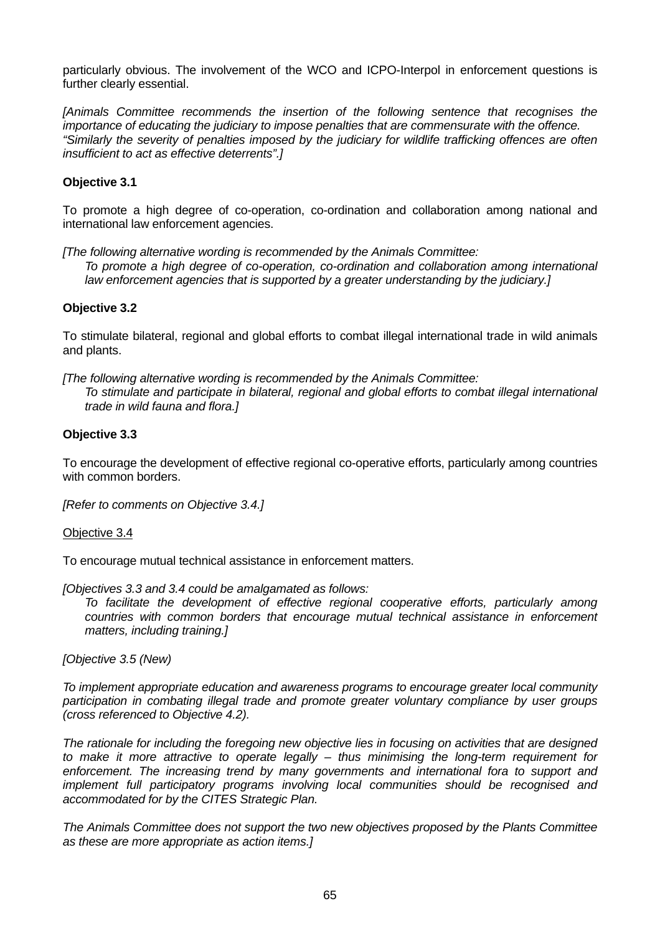particularly obvious. The involvement of the WCO and ICPO-Interpol in enforcement questions is further clearly essential.

*[Animals Committee recommends the insertion of the following sentence that recognises the importance of educating the judiciary to impose penalties that are commensurate with the offence. "Similarly the severity of penalties imposed by the judiciary for wildlife trafficking offences are often insufficient to act as effective deterrents".]*

# **Objective 3.1**

To promote a high degree of co-operation, co-ordination and collaboration among national and international law enforcement agencies.

*[The following alternative wording is recommended by the Animals Committee: To promote a high degree of co-operation, co-ordination and collaboration among international law enforcement agencies that is supported by a greater understanding by the judiciary.]*

## **Objective 3.2**

To stimulate bilateral, regional and global efforts to combat illegal international trade in wild animals and plants.

*[The following alternative wording is recommended by the Animals Committee: To stimulate and participate in bilateral, regional and global efforts to combat illegal international trade in wild fauna and flora.]*

## **Objective 3.3**

To encourage the development of effective regional co-operative efforts, particularly among countries with common borders.

*[Refer to comments on Objective 3.4.]*

## Objective 3.4

To encourage mutual technical assistance in enforcement matters.

*[Objectives 3.3 and 3.4 could be amalgamated as follows:*

*To facilitate the development of effective regional cooperative efforts, particularly among countries with common borders that encourage mutual technical assistance in enforcement matters, including training.]*

*[Objective 3.5 (New)*

*To implement appropriate education and awareness programs to encourage greater local community participation in combating illegal trade and promote greater voluntary compliance by user groups (cross referenced to Objective 4.2).*

*The rationale for including the foregoing new objective lies in focusing on activities that are designed to make it more attractive to operate legally – thus minimising the long-term requirement for enforcement. The increasing trend by many governments and international fora to support and implement full participatory programs involving local communities should be recognised and accommodated for by the CITES Strategic Plan.*

*The Animals Committee does not support the two new objectives proposed by the Plants Committee as these are more appropriate as action items.]*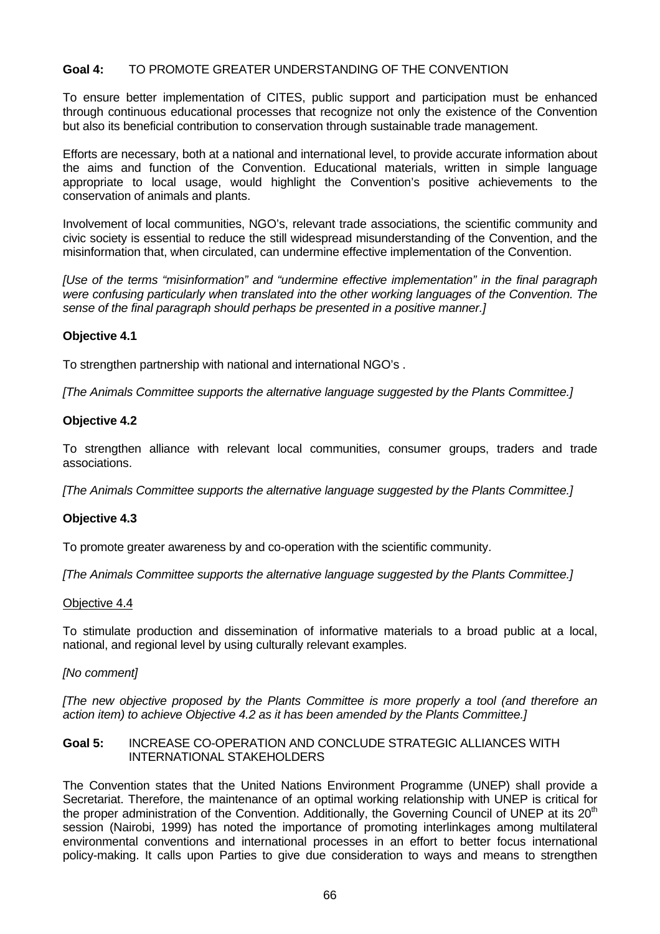# **Goal 4:** TO PROMOTE GREATER UNDERSTANDING OF THE CONVENTION

To ensure better implementation of CITES, public support and participation must be enhanced through continuous educational processes that recognize not only the existence of the Convention but also its beneficial contribution to conservation through sustainable trade management.

Efforts are necessary, both at a national and international level, to provide accurate information about the aims and function of the Convention. Educational materials, written in simple language appropriate to local usage, would highlight the Convention's positive achievements to the conservation of animals and plants.

Involvement of local communities, NGO's, relevant trade associations, the scientific community and civic society is essential to reduce the still widespread misunderstanding of the Convention, and the misinformation that, when circulated, can undermine effective implementation of the Convention.

*[Use of the terms "misinformation" and "undermine effective implementation" in the final paragraph were confusing particularly when translated into the other working languages of the Convention. The sense of the final paragraph should perhaps be presented in a positive manner.]*

## **Objective 4.1**

To strengthen partnership with national and international NGO's .

*[The Animals Committee supports the alternative language suggested by the Plants Committee.]*

# **Objective 4.2**

To strengthen alliance with relevant local communities, consumer groups, traders and trade associations.

*[The Animals Committee supports the alternative language suggested by the Plants Committee.]*

## **Objective 4.3**

To promote greater awareness by and co-operation with the scientific community.

*[The Animals Committee supports the alternative language suggested by the Plants Committee.]*

## Objective 4.4

To stimulate production and dissemination of informative materials to a broad public at a local, national, and regional level by using culturally relevant examples.

## *[No comment]*

*[The new objective proposed by the Plants Committee is more properly a tool (and therefore an action item) to achieve Objective 4.2 as it has been amended by the Plants Committee.]*

#### **Goal 5:** INCREASE CO-OPERATION AND CONCLUDE STRATEGIC ALLIANCES WITH INTERNATIONAL STAKEHOLDERS

The Convention states that the United Nations Environment Programme (UNEP) shall provide a Secretariat. Therefore, the maintenance of an optimal working relationship with UNEP is critical for the proper administration of the Convention. Additionally, the Governing Council of UNEP at its  $20<sup>th</sup>$ session (Nairobi, 1999) has noted the importance of promoting interlinkages among multilateral environmental conventions and international processes in an effort to better focus international policy-making. It calls upon Parties to give due consideration to ways and means to strengthen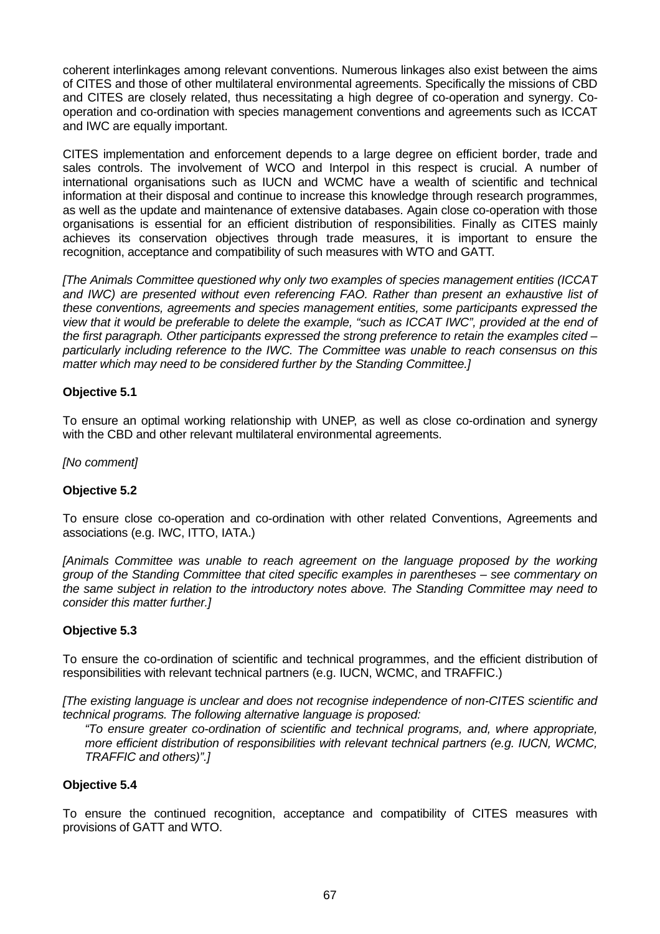coherent interlinkages among relevant conventions. Numerous linkages also exist between the aims of CITES and those of other multilateral environmental agreements. Specifically the missions of CBD and CITES are closely related, thus necessitating a high degree of co-operation and synergy. Cooperation and co-ordination with species management conventions and agreements such as ICCAT and IWC are equally important.

CITES implementation and enforcement depends to a large degree on efficient border, trade and sales controls. The involvement of WCO and Interpol in this respect is crucial. A number of international organisations such as IUCN and WCMC have a wealth of scientific and technical information at their disposal and continue to increase this knowledge through research programmes, as well as the update and maintenance of extensive databases. Again close co-operation with those organisations is essential for an efficient distribution of responsibilities. Finally as CITES mainly achieves its conservation objectives through trade measures, it is important to ensure the recognition, acceptance and compatibility of such measures with WTO and GATT.

*[The Animals Committee questioned why only two examples of species management entities (ICCAT and IWC) are presented without even referencing FAO. Rather than present an exhaustive list of these conventions, agreements and species management entities, some participants expressed the view that it would be preferable to delete the example, "such as ICCAT IWC", provided at the end of the first paragraph. Other participants expressed the strong preference to retain the examples cited – particularly including reference to the IWC. The Committee was unable to reach consensus on this matter which may need to be considered further by the Standing Committee.]*

## **Objective 5.1**

To ensure an optimal working relationship with UNEP, as well as close co-ordination and synergy with the CBD and other relevant multilateral environmental agreements.

*[No comment]*

# **Objective 5.2**

To ensure close co-operation and co-ordination with other related Conventions, Agreements and associations (e.g. IWC, ITTO, IATA.)

*[Animals Committee was unable to reach agreement on the language proposed by the working group of the Standing Committee that cited specific examples in parentheses – see commentary on the same subject in relation to the introductory notes above. The Standing Committee may need to consider this matter further.]*

## **Objective 5.3**

To ensure the co-ordination of scientific and technical programmes, and the efficient distribution of responsibilities with relevant technical partners (e.g. IUCN, WCMC, and TRAFFIC.)

*[The existing language is unclear and does not recognise independence of non-CITES scientific and technical programs. The following alternative language is proposed:*

*"To ensure greater co-ordination of scientific and technical programs, and, where appropriate, more efficient distribution of responsibilities with relevant technical partners (e.g. IUCN, WCMC, TRAFFIC and others)".]*

## **Objective 5.4**

To ensure the continued recognition, acceptance and compatibility of CITES measures with provisions of GATT and WTO.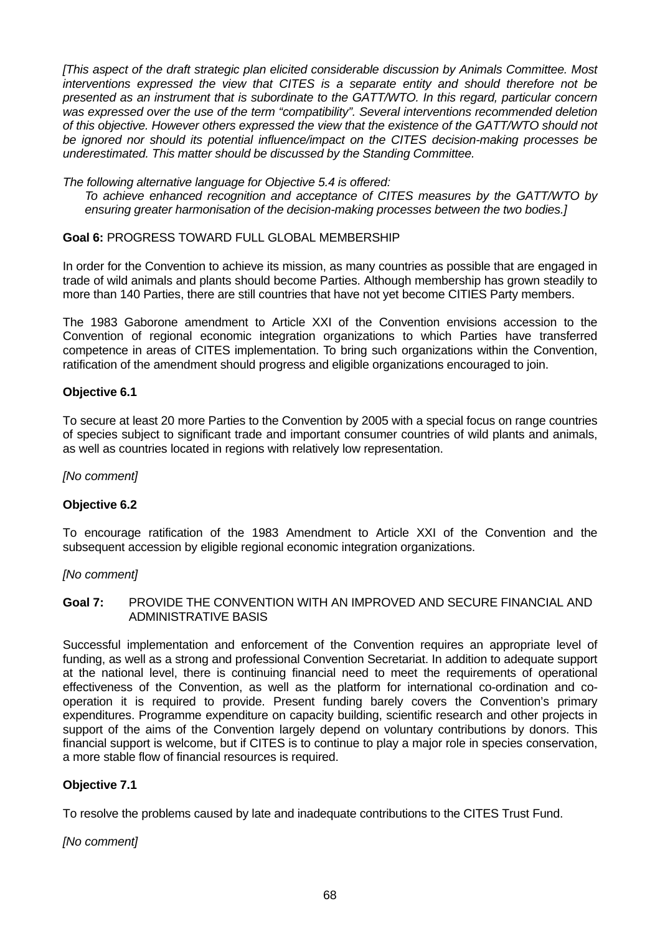*[This aspect of the draft strategic plan elicited considerable discussion by Animals Committee. Most interventions expressed the view that CITES is a separate entity and should therefore not be presented as an instrument that is subordinate to the GATT/WTO. In this regard, particular concern was expressed over the use of the term "compatibility". Several interventions recommended deletion of this objective. However others expressed the view that the existence of the GATT/WTO should not be ignored nor should its potential influence/impact on the CITES decision-making processes be underestimated. This matter should be discussed by the Standing Committee.*

*The following alternative language for Objective 5.4 is offered:*

*To achieve enhanced recognition and acceptance of CITES measures by the GATT/WTO by ensuring greater harmonisation of the decision-making processes between the two bodies.]*

## **Goal 6:** PROGRESS TOWARD FULL GLOBAL MEMBERSHIP

In order for the Convention to achieve its mission, as many countries as possible that are engaged in trade of wild animals and plants should become Parties. Although membership has grown steadily to more than 140 Parties, there are still countries that have not yet become CITIES Party members.

The 1983 Gaborone amendment to Article XXI of the Convention envisions accession to the Convention of regional economic integration organizations to which Parties have transferred competence in areas of CITES implementation. To bring such organizations within the Convention, ratification of the amendment should progress and eligible organizations encouraged to join.

#### **Objective 6.1**

To secure at least 20 more Parties to the Convention by 2005 with a special focus on range countries of species subject to significant trade and important consumer countries of wild plants and animals, as well as countries located in regions with relatively low representation.

*[No comment]*

## **Objective 6.2**

To encourage ratification of the 1983 Amendment to Article XXI of the Convention and the subsequent accession by eligible regional economic integration organizations.

#### *[No comment]*

#### **Goal 7:** PROVIDE THE CONVENTION WITH AN IMPROVED AND SECURE FINANCIAL AND ADMINISTRATIVE BASIS

Successful implementation and enforcement of the Convention requires an appropriate level of funding, as well as a strong and professional Convention Secretariat. In addition to adequate support at the national level, there is continuing financial need to meet the requirements of operational effectiveness of the Convention, as well as the platform for international co-ordination and cooperation it is required to provide. Present funding barely covers the Convention's primary expenditures. Programme expenditure on capacity building, scientific research and other projects in support of the aims of the Convention largely depend on voluntary contributions by donors. This financial support is welcome, but if CITES is to continue to play a major role in species conservation, a more stable flow of financial resources is required.

## **Objective 7.1**

To resolve the problems caused by late and inadequate contributions to the CITES Trust Fund.

*[No comment]*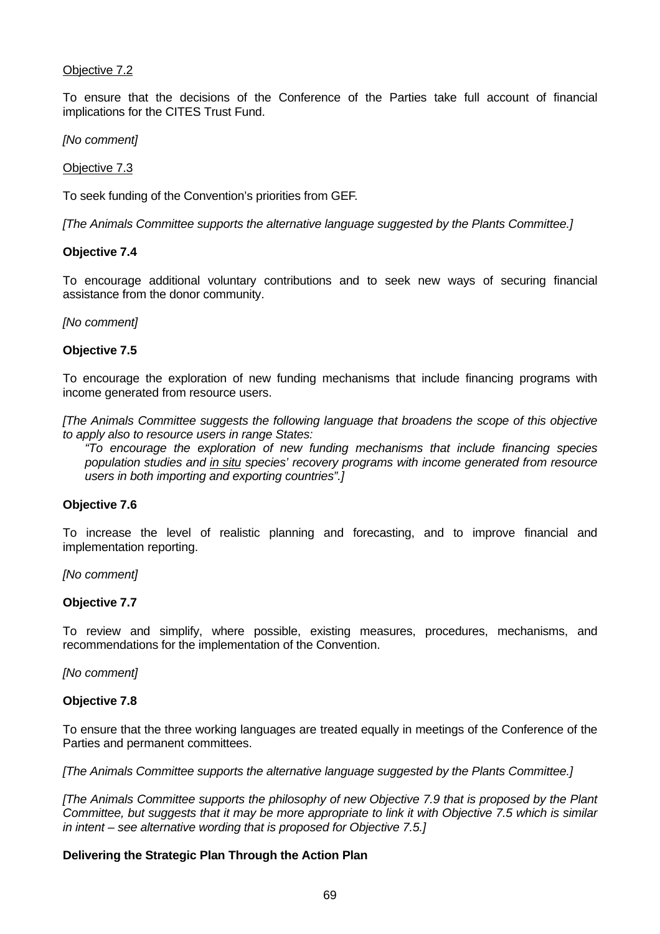# Objective 7.2

To ensure that the decisions of the Conference of the Parties take full account of financial implications for the CITES Trust Fund.

*[No comment]*

Objective 7.3

To seek funding of the Convention's priorities from GEF.

*[The Animals Committee supports the alternative language suggested by the Plants Committee.]*

#### **Objective 7.4**

To encourage additional voluntary contributions and to seek new ways of securing financial assistance from the donor community.

*[No comment]*

#### **Objective 7.5**

To encourage the exploration of new funding mechanisms that include financing programs with income generated from resource users.

*[The Animals Committee suggests the following language that broadens the scope of this objective to apply also to resource users in range States:*

*"To encourage the exploration of new funding mechanisms that include financing species population studies and in situ species' recovery programs with income generated from resource users in both importing and exporting countries".]*

#### **Objective 7.6**

To increase the level of realistic planning and forecasting, and to improve financial and implementation reporting.

*[No comment]*

#### **Objective 7.7**

To review and simplify, where possible, existing measures, procedures, mechanisms, and recommendations for the implementation of the Convention.

*[No comment]*

## **Objective 7.8**

To ensure that the three working languages are treated equally in meetings of the Conference of the Parties and permanent committees.

*[The Animals Committee supports the alternative language suggested by the Plants Committee.]*

*[The Animals Committee supports the philosophy of new Objective 7.9 that is proposed by the Plant Committee, but suggests that it may be more appropriate to link it with Objective 7.5 which is similar in intent – see alternative wording that is proposed for Objective 7.5.]*

## **Delivering the Strategic Plan Through the Action Plan**